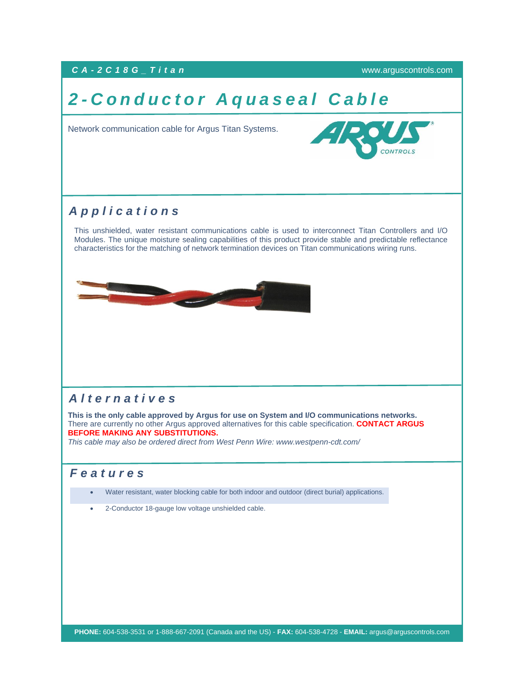